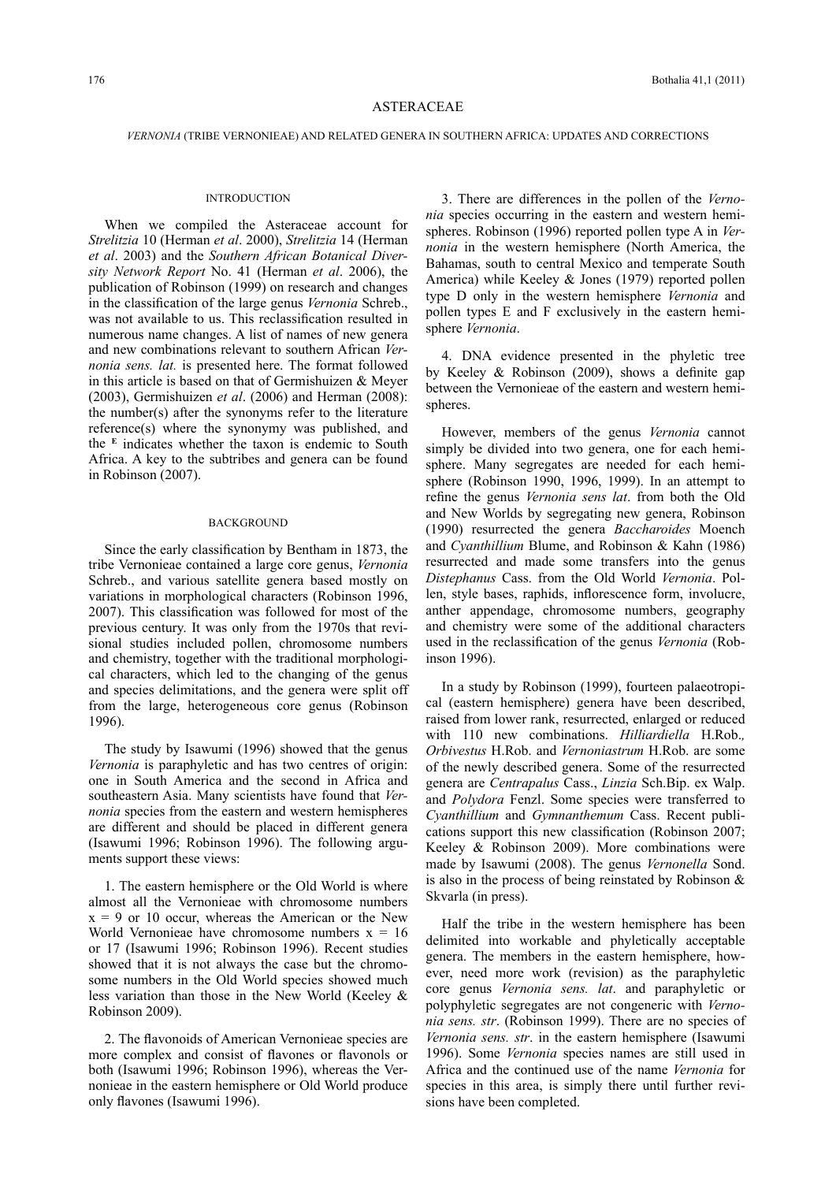## ASTERACEAE

### *VERNONIA* (TRIBE VERNONIEAE) AND RELATED GENERA IN SOUTHERN AFRICA: UPDATES AND CORRECTIONS

### **INTRODUCTION**

When we compiled the Asteraceae account for *Strelitzia* 10 (Herman *et al*. 2000), *Strelitzia* 14 (Herman *et al*. 2003) and the *Southern African Botanical Diversity Network Report* No. 41 (Herman *et al*. 2006), the publication of Robinson (1999) on research and changes in the classification of the large genus *Vernonia* Schreb., was not available to us. This reclassification resulted in numerous name changes. A list of names of new genera and new combinations relevant to southern African *Vernonia sens. lat.* is presented here. The format followed in this article is based on that of Germishuizen & Meyer (2003), Germishuizen *et al*. (2006) and Herman (2008): the number(s) after the synonyms refer to the literature reference(s) where the synonymy was published, and the  $E$  indicates whether the taxon is endemic to South Africa. A key to the subtribes and genera can be found in Robinson (2007).

### **BACKGROUND**

Since the early classification by Bentham in 1873, the tribe Vernonieae contained a large core genus, *Vernonia* Schreb., and various satellite genera based mostly on variations in morphological characters (Robinson 1996, 2007). This classification was followed for most of the previous century. It was only from the 1970s that revisional studies included pollen, chromosome numbers and chemistry, together with the traditional morphological characters, which led to the changing of the genus and species delimitations, and the genera were split off from the large, heterogeneous core genus (Robinson 1996).

The study by Isawumi (1996) showed that the genus *Vernonia* is paraphyletic and has two centres of origin: one in South America and the second in Africa and southeastern Asia. Many scientists have found that *Vernonia* species from the eastern and western hemispheres are different and should be placed in different genera (Isawumi 1996; Robinson 1996). The following arguments support these views:

1. The eastern hemisphere or the Old World is where almost all the Vernonieae with chromosome numbers  $x = 9$  or 10 occur, whereas the American or the New World Vernonieae have chromosome numbers  $x = 16$ or 17 (Isawumi 1996; Robinson 1996). Recent studies showed that it is not always the case but the chromosome numbers in the Old World species showed much less variation than those in the New World (Keeley & Robinson 2009).

2. The flavonoids of American Vernonieae species are more complex and consist of flavones or flavonols or both (Isawumi 1996; Robinson 1996), whereas the Vernonieae in the eastern hemisphere or Old World produce only flavones (Isawumi 1996).

3. There are differences in the pollen of the *Vernonia* species occurring in the eastern and western hemispheres. Robinson (1996) reported pollen type A in *Vernonia* in the western hemisphere (North America, the Bahamas, south to central Mexico and temperate South America) while Keeley & Jones (1979) reported pollen type D only in the western hemisphere *Vernonia* and pollen types E and F exclusively in the eastern hemisphere *Vernonia*.

4. DNA evidence presented in the phyletic tree by Keeley & Robinson (2009), shows a definite gap between the Vernonieae of the eastern and western hemispheres.

However, members of the genus *Vernonia* cannot simply be divided into two genera, one for each hemisphere. Many segregates are needed for each hemisphere (Robinson 1990, 1996, 1999). In an attempt to refine the genus *Vernonia sens lat*. from both the Old and New Worlds by segregating new genera, Robinson (1990) resurrected the genera *Baccharoides* Moench and *Cyanthillium* Blume, and Robinson & Kahn (1986) resurrected and made some transfers into the genus *Distephanus* Cass. from the Old World *Vernonia*. Pollen, style bases, raphids, inflorescence form, involucre, anther appendage, chromosome numbers, geography and chemistry were some of the additional characters used in the reclassification of the genus *Vernonia* (Robinson 1996).

In a study by Robinson (1999), fourteen palaeotropical (eastern hemisphere) genera have been described, raised from lower rank, resurrected, enlarged or reduced with 110 new combinations. *Hilliardiella* H.Rob.*, Orbivestus* H.Rob. and *Vernoniastrum* H.Rob. are some of the newly described genera. Some of the resurrected genera are *Centrapalus* Cass., *Linzia* Sch.Bip. ex Walp. and *Polydora* Fenzl. Some species were transferred to *Cyanthillium* and *Gymnanthemum* Cass. Recent publications support this new classification (Robinson 2007; Keeley & Robinson 2009). More combinations were made by Isawumi (2008). The genus *Vernonella* Sond. is also in the process of being reinstated by Robinson & Skvarla (in press).

Half the tribe in the western hemisphere has been delimited into workable and phyletically acceptable genera. The members in the eastern hemisphere, however, need more work (revision) as the paraphyletic core genus *Vernonia sens. lat*. and paraphyletic or polyphyletic segregates are not congeneric with *Vernonia sens. str*. (Robinson 1999). There are no species of *Vernonia sens. str*. in the eastern hemisphere (Isawumi 1996). Some *Vernonia* species names are still used in Africa and the continued use of the name *Vernonia* for species in this area, is simply there until further revisions have been completed.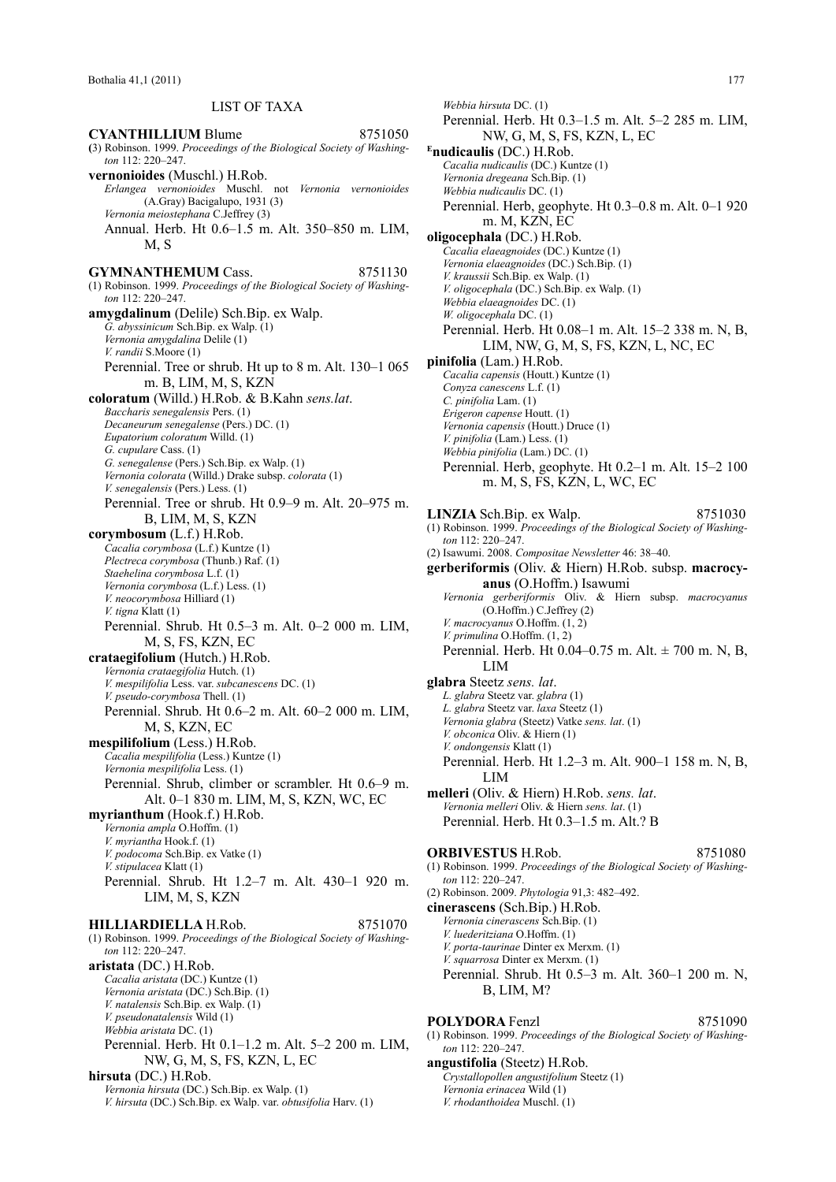# LIST OF TAXA

**CYANTHILLIUM Blume** 8751050 **(**3) Robinson. 1999. *Proceedings of the Biological Society of Washington* 112: 220–247. **vernonioides** (Muschl.) H.Rob. *Erlangea vernonioides* Muschl. not *Vernonia vernonioides* (A.Gray) Bacigalupo, 1931 (3) *Vernonia meiostephana* C.Jeffrey (3) Annual. Herb. Ht 0.6–1.5 m. Alt. 350–850 m. LIM,  $M$  S **GYMNANTHEMUM Cass.** 8751130 (1) Robinson. 1999. *Proceedings of the Biological Society of Washington* 112: 220–247. **amygdalinum** (Delile) Sch.Bip. ex Walp. *G. abyssinicum* Sch.Bip. ex Walp. (1) *Vernonia amygdalina* Delile (1) *V. randii* S.Moore (1) Perennial. Tree or shrub. Ht up to 8 m. Alt. 130–1 065 m. B, LIM, M, S, KZN **coloratum** (Willd.) H.Rob. & B.Kahn *sens.lat*. *Baccharis senegalensis* Pers. (1) *Decaneurum senegalense* (Pers.) DC. (1) *Eupatorium coloratum* Willd. (1) *G. cupulare* Cass. (1) *G. senegalense* (Pers.) Sch.Bip. ex Walp. (1) *Vernonia colorata* (Willd.) Drake subsp. *colorata* (1) *V. senegalensis* (Pers.) Less. (1) Perennial. Tree or shrub. Ht 0.9–9 m. Alt. 20–975 m. B, LIM, M, S, KZN **corymbosum** (L.f.) H.Rob. *Cacalia corymbosa* (L.f.) Kuntze (1) *Plectreca corymbosa* (Thunb.) Raf. (1) *Staehelina corymbosa* L.f. (1) *Vernonia corymbosa* (L.f.) Less. (1) *V. neocorymbosa* Hilliard (1) *V. tigna* Klatt (1) Perennial. Shrub. Ht 0.5–3 m. Alt. 0–2 000 m. LIM, M, S, FS, KZN, EC **crataegifolium** (Hutch.) H.Rob. *Vernonia crataegifolia* Hutch. (1) *V. mespilifolia* Less. var. *subcanescens* DC. (1) *V. pseudo-corymbosa* Thell. (1) Perennial. Shrub. Ht 0.6–2 m. Alt. 60–2 000 m. LIM, M, S, KZN, EC **mespilifolium** (Less.) H.Rob. *Cacalia mespilifolia* (Less.) Kuntze (1) *Vernonia mespilifolia* Less. (1) Perennial. Shrub, climber or scrambler. Ht 0.6–9 m. Alt. 0–1 830 m. LIM, M, S, KZN, WC, EC **myrianthum** (Hook.f.) H.Rob. *Vernonia ampla* O.Hoffm. (1) *V. myriantha* Hook.f. (1) *V. podocoma* Sch.Bip. ex Vatke (1) *V. stipulacea* Klatt (1) Perennial. Shrub. Ht 1.2–7 m. Alt. 430–1 920 m. LIM, M, S, KZN **HILLIARDIELLA** H.Rob. 8751070 (1) Robinson. 1999. *Proceedings of the Biological Society of Washington* 112: 220–247. **aristata** (DC.) H.Rob. *Cacalia aristata* (DC.) Kuntze (1) *Vernonia aristata* (DC.) Sch.Bip. (1) *V. natalensis* Sch.Bip. ex Walp. (1) *V. pseudonatalensis* Wild (1) *Webbia aristata* DC. (1) Perennial. Herb. Ht 0.1–1.2 m. Alt. 5–2 200 m. LIM, NW, G, M, S, FS, KZN, L, EC **hirsuta** (DC.) H.Rob. *Vernonia hirsuta* (DC.) Sch.Bip. ex Walp. (1) *V. hirsuta* (DC.) Sch.Bip. ex Walp. var. *obtusifolia* Harv. (1)

*Webbia hirsuta* DC. (1) Perennial. Herb. Ht 0.3–1.5 m. Alt. 5–2 285 m. LIM, NW, G, M, S, FS, KZN, L, EC **Enudicaulis** (DC.) H.Rob. *Cacalia nudicaulis* (DC.) Kuntze (1) *Vernonia dregeana* Sch.Bip. (1) *Webbia nudicaulis* DC. (1) Perennial. Herb, geophyte. Ht 0.3–0.8 m. Alt. 0–1 920 m. M, KZN, EC **oligocephala** (DC.) H.Rob. *Cacalia elaeagnoides* (DC.) Kuntze (1) *Vernonia elaeagnoides* (DC.) Sch.Bip. (1) *V. kraussii* Sch.Bip. ex Walp. (1) *V. oligocephala* (DC.) Sch.Bip. ex Walp. (1) *Webbia elaeagnoides* DC. (1) *W. oligocephala* DC. (1) Perennial. Herb. Ht 0.08–1 m. Alt. 15–2 338 m. N, B, LIM, NW, G, M, S, FS, KZN, L, NC, EC **pinifolia** (Lam.) H.Rob. *Cacalia capensis* (Houtt.) Kuntze (1) *Conyza canescens* L.f. (1) *C. pinifolia* Lam. (1) *Erigeron capense* Houtt. (1) *Vernonia capensis* (Houtt.) Druce (1) *V. pinifolia* (Lam.) Less. (1) *Webbia pinifolia* (Lam.) DC. (1) Perennial. Herb, geophyte. Ht 0.2–1 m. Alt. 15–2 100 m. M, S, FS, KZN, L, WC, EC **LINZIA** Sch.Bip. ex Walp. 8751030 (1) Robinson. 1999. *Proceedings of the Biological Society of Washington* 112: 220–247. (2) Isawumi. 2008. *Compositae Newsletter* 46: 38–40. **gerberiformis** (Oliv. & Hiern) H.Rob. subsp. **macrocyanus** (O.Hoffm.) Isawumi *Vernonia gerberiformis* Oliv. & Hiern subsp. *macrocyanus* (O.Hoffm.) C.Jeffrey (2) *V. macrocyanus* O.Hoffm. (1, 2) *V. primulina* O.Hoffm. (1, 2) Perennial. Herb. Ht 0.04–0.75 m. Alt. ± 700 m. N, B, LIM **glabra** Steetz *sens. lat*. *L. glabra* Steetz var. *glabra* (1) *L. glabra* Steetz var. *laxa* Steetz (1) *Vernonia glabra* (Steetz) Vatke *sens. lat*. (1)

- *V. obconica* Oliv. & Hiern (1)
- *V. ondongensis* Klatt (1)
- Perennial. Herb. Ht 1.2–3 m. Alt. 900–1 158 m. N, B, LIM

**melleri** (Oliv. & Hiern) H.Rob. *sens. lat*. *Vernonia melleri* Oliv. & Hiern *sens. lat*. (1) Perennial. Herb. Ht 0.3–1.5 m. Alt.? B

### **ORBIVESTUS H.Rob.** 8751080

- (1) Robinson. 1999. *Proceedings of the Biological Society of Washington* 112: 220–247.
- (2) Robinson. 2009. *Phytologia* 91,3: 482–492.
- **cinerascens** (Sch.Bip.) H.Rob.
	- *Vernonia cinerascens* Sch.Bip. (1)
	- *V. luederitziana* O.Hoffm. (1)
	- *V. porta-taurinae* Dinter ex Merxm. (1)
	- *V. squarrosa* Dinter ex Merxm. (1)
	- Perennial. Shrub. Ht 0.5–3 m. Alt. 360–1 200 m. N, B, LIM, M?

# **POLYDORA** Fenzl 8751090

(1) Robinson. 1999. *Proceedings of the Biological Society of Washington* 112: 220–247.

**angustifolia** (Steetz) H.Rob. *Crystallopollen angustifolium* Steetz (1) *Vernonia erinacea* Wild (1) *V. rhodanthoidea* Muschl. (1)